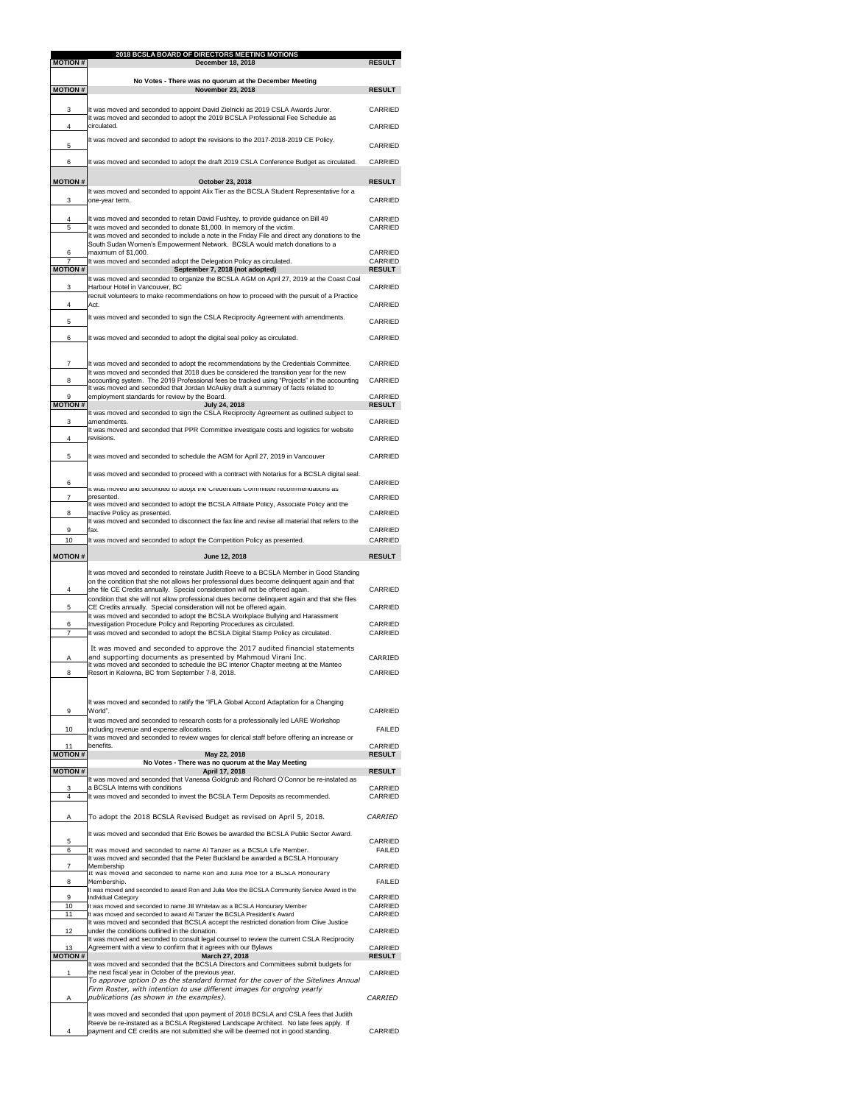| <b>MOTION#</b>                   | 2018 BCSLA BOARD OF DIRECTORS MEETING MOTIONS<br><b>December 18, 2018</b>                                                                                                                                                                                                                                                                                          | <b>RESULT</b>                    |
|----------------------------------|--------------------------------------------------------------------------------------------------------------------------------------------------------------------------------------------------------------------------------------------------------------------------------------------------------------------------------------------------------------------|----------------------------------|
|                                  |                                                                                                                                                                                                                                                                                                                                                                    |                                  |
| <b>MOTION#</b>                   | No Votes - There was no quorum at the December Meeting<br><b>November 23, 2018</b>                                                                                                                                                                                                                                                                                 | <b>RESULT</b>                    |
| 3                                | It was moved and seconded to appoint David Zielnicki as 2019 CSLA Awards Juror.                                                                                                                                                                                                                                                                                    | <b>CARRIED</b>                   |
| 4                                | It was moved and seconded to adopt the 2019 BCSLA Professional Fee Schedule as<br>circulated.                                                                                                                                                                                                                                                                      | <b>CARRIED</b>                   |
| 5                                | It was moved and seconded to adopt the revisions to the 2017-2018-2019 CE Policy.                                                                                                                                                                                                                                                                                  | <b>CARRIED</b>                   |
| 6                                | It was moved and seconded to adopt the draft 2019 CSLA Conference Budget as circulated.                                                                                                                                                                                                                                                                            | <b>CARRIED</b>                   |
| <b>MOTION#</b>                   | October 23, 2018                                                                                                                                                                                                                                                                                                                                                   | <b>RESULT</b>                    |
| 3                                | It was moved and seconded to appoint Alix Tier as the BCSLA Student Representative for a<br>one-year term.                                                                                                                                                                                                                                                         | <b>CARRIED</b>                   |
|                                  |                                                                                                                                                                                                                                                                                                                                                                    | <b>CARRIED</b>                   |
| 4<br>$\overline{5}$<br>6         | It was moved and seconded to retain David Fushtey, to provide guidance on Bill 49<br>It was moved and seconded to donate \$1,000. In memory of the victim.<br>It was moved and seconded to include a note in the Friday File and direct any donations to the<br>South Sudan Women's Empowerment Network. BCSLA would match donations to a<br>maximum of \$1,000.   | <b>CARRIED</b><br><b>CARRIED</b> |
| $\overline{7}$<br><b>MOTION#</b> | It was moved and seconded adopt the Delegation Policy as circulated.<br>September 7, 2018 (not adopted)                                                                                                                                                                                                                                                            | <b>CARRIED</b><br><b>RESULT</b>  |
|                                  | It was moved and seconded to organize the BCSLA AGM on April 27, 2019 at the Coast Coal                                                                                                                                                                                                                                                                            |                                  |
| 3                                | Harbour Hotel in Vancouver, BC<br>recruit volunteers to make recommendations on how to proceed with the pursuit of a Practice                                                                                                                                                                                                                                      | <b>CARRIED</b>                   |
| 4                                | Act.<br>It was moved and seconded to sign the CSLA Reciprocity Agreement with amendments.                                                                                                                                                                                                                                                                          | <b>CARRIED</b>                   |
| 5                                |                                                                                                                                                                                                                                                                                                                                                                    | <b>CARRIED</b>                   |
| 6                                | It was moved and seconded to adopt the digital seal policy as circulated.                                                                                                                                                                                                                                                                                          | <b>CARRIED</b>                   |
| $\overline{7}$<br>8              | It was moved and seconded to adopt the recommendations by the Credentials Committee.<br>It was moved and seconded that 2018 dues be considered the transition year for the new<br>accounting system. The 2019 Professional fees be tracked using "Projects" in the accounting<br>It was moved and seconded that Jordan McAuley draft a summary of facts related to | <b>CARRIED</b><br><b>CARRIED</b> |
| 9<br><b>MOTION#</b>              | employment standards for review by the Board.<br><b>July 24, 2018</b>                                                                                                                                                                                                                                                                                              | <b>CARRIED</b><br><b>RESULT</b>  |
| 3                                | It was moved and seconded to sign the CSLA Reciprocity Agreement as outlined subject to<br>amendments.                                                                                                                                                                                                                                                             | <b>CARRIED</b>                   |
| 4                                | It was moved and seconded that PPR Committee investigate costs and logistics for website<br>revisions.                                                                                                                                                                                                                                                             | <b>CARRIED</b>                   |
| 5                                | It was moved and seconded to schedule the AGM for April 27, 2019 in Vancouver                                                                                                                                                                                                                                                                                      | <b>CARRIED</b>                   |
|                                  | It was moved and seconded to proceed with a contract with Notarius for a BCSLA digital seal.                                                                                                                                                                                                                                                                       |                                  |
| 6                                | It was moved and seconded to adopt the Credentials Committee recommendations as                                                                                                                                                                                                                                                                                    | <b>CARRIED</b>                   |
| $\overline{7}$                   | presented.<br>It was moved and seconded to adopt the BCSLA Affiliate Policy, Associate Policy and the                                                                                                                                                                                                                                                              | <b>CARRIED</b>                   |
| 8                                | Inactive Policy as presented.<br>It was moved and seconded to disconnect the fax line and revise all material that refers to the                                                                                                                                                                                                                                   | <b>CARRIED</b>                   |
| 9<br>10                          | fax.<br>It was moved and seconded to adopt the Competition Policy as presented.                                                                                                                                                                                                                                                                                    | <b>CARRIED</b><br><b>CARRIED</b> |
| <b>MOTION#</b>                   | June 12, 2018                                                                                                                                                                                                                                                                                                                                                      |                                  |
|                                  |                                                                                                                                                                                                                                                                                                                                                                    | <b>RESULT</b>                    |
|                                  | It was moved and seconded to reinstate Judith Reeve to a BCSLA Member in Good Standing                                                                                                                                                                                                                                                                             |                                  |
| 4                                | on the condition that she not allows her professional dues become delinquent again and that<br>she file CE Credits annually. Special consideration will not be offered again.                                                                                                                                                                                      | <b>CARRIED</b>                   |
| 5                                | condition that she will not allow professional dues become delinquent again and that she files<br>CE Credits annually. Special consideration will not be offered again.                                                                                                                                                                                            | <b>CARRIED</b>                   |
| 6                                | It was moved and seconded to adopt the BCSLA Workplace Bullying and Harassment<br>Investigation Procedure Policy and Reporting Procedures as circulated.                                                                                                                                                                                                           | <b>CARRIED</b>                   |
| $\overline{7}$                   | It was moved and seconded to adopt the BCSLA Digital Stamp Policy as circulated.                                                                                                                                                                                                                                                                                   | <b>CARRIED</b>                   |
| A<br>8                           | It was moved and seconded to approve the 2017 audited financial statements<br>and supporting documents as presented by Mahmoud Virani Inc.<br>It was moved and seconded to schedule the BC Interior Chapter meeting at the Manteo<br>Resort in Kelowna, BC from September 7-8, 2018.                                                                               | CARRIED<br><b>CARRIED</b>        |
|                                  | It was moved and seconded to ratify the "IFLA Global Accord Adaptation for a Changing                                                                                                                                                                                                                                                                              |                                  |
| 9                                | World".                                                                                                                                                                                                                                                                                                                                                            | <b>CARRIED</b>                   |
| 10                               | It was moved and seconded to research costs for a professionally led LARE Workshop<br>including revenue and expense allocations.                                                                                                                                                                                                                                   | <b>FAILED</b>                    |
| 11                               | It was moved and seconded to review wages for clerical staff before offering an increase or<br>benefits.                                                                                                                                                                                                                                                           | CARRIED                          |
| <b>MOTION#</b>                   | May 22, 2018<br>No Votes - There was no quorum at the May Meeting                                                                                                                                                                                                                                                                                                  | <b>RESULT</b>                    |
| <b>MOTION#</b>                   | April 17, 2018<br>It was moved and seconded that Vanessa Goldgrub and Richard O'Connor be re-instated as                                                                                                                                                                                                                                                           | <b>RESULT</b>                    |
| 3<br>$\overline{4}$              | a BCSLA Interns with conditions<br>It was moved and seconded to invest the BCSLA Term Deposits as recommended.                                                                                                                                                                                                                                                     | <b>CARRIED</b><br><b>CARRIED</b> |
| A                                | To adopt the 2018 BCSLA Revised Budget as revised on April 5, 2018.                                                                                                                                                                                                                                                                                                | <b>CARRIED</b>                   |
|                                  | It was moved and seconded that Eric Bowes be awarded the BCSLA Public Sector Award.                                                                                                                                                                                                                                                                                |                                  |
| 5<br>6                           | It was moved and seconded to name AI Tanzer as a BCSLA Life Member.                                                                                                                                                                                                                                                                                                | <b>CARRIED</b><br><b>FAILED</b>  |
| $\overline{7}$                   | It was moved and seconded that the Peter Buckland be awarded a BCSLA Honourary<br>Membership<br>It was moved and seconded to name Ron and Julia Moe for a BCSLA Honourary                                                                                                                                                                                          | CARRIED                          |
| 8                                | Membership.                                                                                                                                                                                                                                                                                                                                                        | <b>FAILED</b>                    |
| 9<br>10                          | It was moved and seconded to award Ron and Julia Moe the BCSLA Community Service Award in the<br>Individual Category                                                                                                                                                                                                                                               | <b>CARRIED</b><br><b>CARRIED</b> |
| 11                               | It was moved and seconded to name Jill Whitelaw as a BCSLA Honourary Member<br>It was moved and seconded to award AI Tanzer the BCSLA President's Award                                                                                                                                                                                                            | <b>CARRIED</b>                   |
| 12                               | It was moved and seconded that BCSLA accept the restricted donation from Clive Justice<br>under the conditions outlined in the donation.                                                                                                                                                                                                                           | CARRIED                          |
| 13                               | It was moved and seconded to consult legal counsel to review the current CSLA Reciprocity<br>Agreement with a view to confirm that it agrees with our Bylaws                                                                                                                                                                                                       | CARRIED                          |
| <b>MOTION#</b>                   | March 27, 2018<br>It was moved and seconded that the BCSLA Directors and Committees submit budgets for                                                                                                                                                                                                                                                             | <b>RESULT</b>                    |
| 1                                | the next fiscal year in October of the previous year.<br>To approve option D as the standard format for the cover of the Sitelines Annual                                                                                                                                                                                                                          | <b>CARRIED</b>                   |
| A                                | Firm Roster, with intention to use different images for ongoing yearly<br>publications (as shown in the examples).                                                                                                                                                                                                                                                 | <b>CARRIED</b>                   |
|                                  | It was moved and seconded that upon payment of 2018 BCSLA and CSLA fees that Judith<br>Reeve be re-instated as a BCSLA Registered Landscape Architect. No late fees apply. If                                                                                                                                                                                      |                                  |